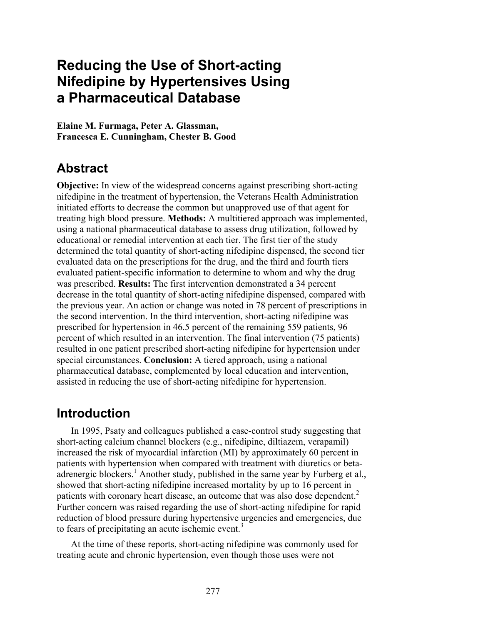# **Reducing the Use of Short-acting Nifedipine by Hypertensives Using a Pharmaceutical Database**

**Elaine M. Furmaga, Peter A. Glassman, Francesca E. Cunningham, Chester B. Good** 

# **Abstract**

**Objective:** In view of the widespread concerns against prescribing short-acting nifedipine in the treatment of hypertension, the Veterans Health Administration initiated efforts to decrease the common but unapproved use of that agent for treating high blood pressure. **Methods:** A multitiered approach was implemented, using a national pharmaceutical database to assess drug utilization, followed by educational or remedial intervention at each tier. The first tier of the study determined the total quantity of short-acting nifedipine dispensed, the second tier evaluated data on the prescriptions for the drug, and the third and fourth tiers evaluated patient-specific information to determine to whom and why the drug was prescribed. **Results:** The first intervention demonstrated a 34 percent decrease in the total quantity of short-acting nifedipine dispensed, compared with the previous year. An action or change was noted in 78 percent of prescriptions in the second intervention. In the third intervention, short-acting nifedipine was prescribed for hypertension in 46.5 percent of the remaining 559 patients, 96 percent of which resulted in an intervention. The final intervention (75 patients) resulted in one patient prescribed short-acting nifedipine for hypertension under special circumstances. **Conclusion:** A tiered approach, using a national pharmaceutical database, complemented by local education and intervention, assisted in reducing the use of short-acting nifedipine for hypertension.

# **Introduction**

In 1995, Psaty and colleagues published a case-control study suggesting that short-acting calcium channel blockers (e.g., nifedipine, diltiazem, verapamil) increased the risk of myocardial infarction (MI) by approximately 60 percent in patients with hypertension when compared with treatment with diuretics or betaadrenergic blockers.<sup>1</sup> Another study, published in the same year by Furberg et al., showed that short-acting nifedipine increased mortality by up to 16 percent in patients with coronary heart disease, an outcome that was also dose dependent.<sup>2</sup> Further concern was raised regarding the use of short-acting nifedipine for rapid reduction of blood pressure during hypertensive urgencies and emergencies, due to fears of precipitating an acute ischemic event.<sup>3</sup>

At the time of these reports, short-acting nifedipine was commonly used for treating acute and chronic hypertension, even though those uses were not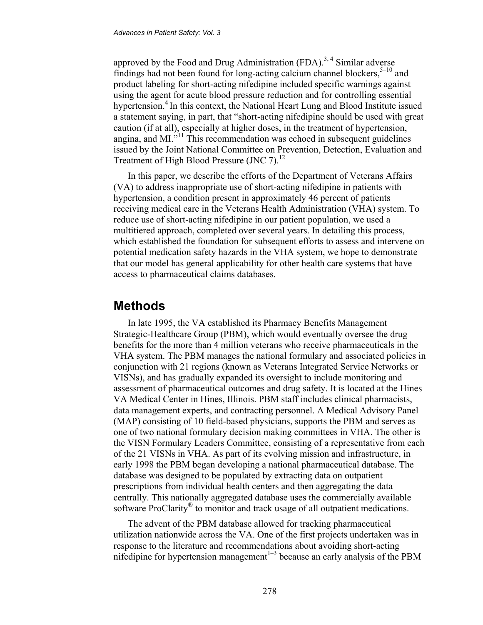approved by the Food and Drug Administration (FDA).<sup>3, 4</sup> Similar adverse findings had not been found for long-acting calcium channel blockers,  $5-10$  and product labeling for short-acting nifedipine included specific warnings against using the agent for acute blood pressure reduction and for controlling essential hypertension.<sup>4</sup> In this context, the National Heart Lung and Blood Institute issued a statement saying, in part, that "short-acting nifedipine should be used with great caution (if at all), especially at higher doses, in the treatment of hypertension, angina, and MI."<sup>11</sup> This recommendation was echoed in subsequent guidelines issued by the Joint National Committee on Prevention, Detection, Evaluation and Treatment of High Blood Pressure (JNC 7).<sup>12</sup>

In this paper, we describe the efforts of the Department of Veterans Affairs (VA) to address inappropriate use of short-acting nifedipine in patients with hypertension, a condition present in approximately 46 percent of patients receiving medical care in the Veterans Health Administration (VHA) system. To reduce use of short-acting nifedipine in our patient population, we used a multitiered approach, completed over several years. In detailing this process, which established the foundation for subsequent efforts to assess and intervene on potential medication safety hazards in the VHA system, we hope to demonstrate that our model has general applicability for other health care systems that have access to pharmaceutical claims databases.

## **Methods**

In late 1995, the VA established its Pharmacy Benefits Management Strategic-Healthcare Group (PBM), which would eventually oversee the drug benefits for the more than 4 million veterans who receive pharmaceuticals in the VHA system. The PBM manages the national formulary and associated policies in conjunction with 21 regions (known as Veterans Integrated Service Networks or VISNs), and has gradually expanded its oversight to include monitoring and assessment of pharmaceutical outcomes and drug safety. It is located at the Hines VA Medical Center in Hines, Illinois. PBM staff includes clinical pharmacists, data management experts, and contracting personnel. A Medical Advisory Panel (MAP) consisting of 10 field-based physicians, supports the PBM and serves as one of two national formulary decision making committees in VHA. The other is the VISN Formulary Leaders Committee, consisting of a representative from each of the 21 VISNs in VHA. As part of its evolving mission and infrastructure, in early 1998 the PBM began developing a national pharmaceutical database. The database was designed to be populated by extracting data on outpatient prescriptions from individual health centers and then aggregating the data centrally. This nationally aggregated database uses the commercially available software ProClarity<sup>®</sup> to monitor and track usage of all outpatient medications.

The advent of the PBM database allowed for tracking pharmaceutical utilization nationwide across the VA. One of the first projects undertaken was in response to the literature and recommendations about avoiding short-acting nifedipine for hypertension management<sup> $1-3$ </sup> because an early analysis of the PBM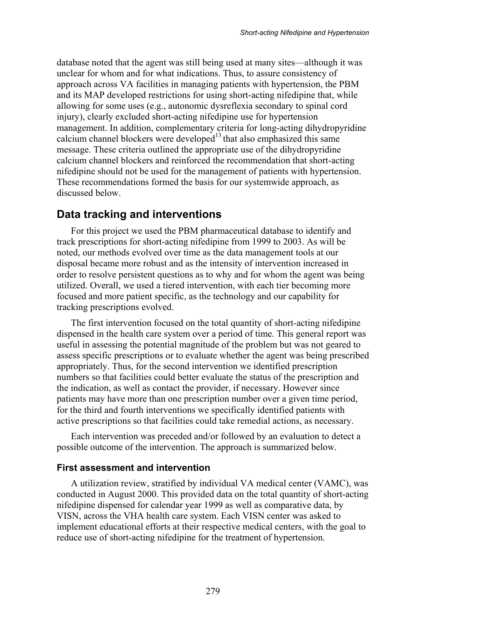database noted that the agent was still being used at many sites—although it was unclear for whom and for what indications. Thus, to assure consistency of approach across VA facilities in managing patients with hypertension, the PBM and its MAP developed restrictions for using short-acting nifedipine that, while allowing for some uses (e.g., autonomic dysreflexia secondary to spinal cord injury), clearly excluded short-acting nifedipine use for hypertension management. In addition, complementary criteria for long-acting dihydropyridine calcium channel blockers were developed $13$  that also emphasized this same message. These criteria outlined the appropriate use of the dihydropyridine calcium channel blockers and reinforced the recommendation that short-acting nifedipine should not be used for the management of patients with hypertension. These recommendations formed the basis for our systemwide approach, as discussed below.

#### **Data tracking and interventions**

For this project we used the PBM pharmaceutical database to identify and track prescriptions for short-acting nifedipine from 1999 to 2003. As will be noted, our methods evolved over time as the data management tools at our disposal became more robust and as the intensity of intervention increased in order to resolve persistent questions as to why and for whom the agent was being utilized. Overall, we used a tiered intervention, with each tier becoming more focused and more patient specific, as the technology and our capability for tracking prescriptions evolved.

The first intervention focused on the total quantity of short-acting nifedipine dispensed in the health care system over a period of time. This general report was useful in assessing the potential magnitude of the problem but was not geared to assess specific prescriptions or to evaluate whether the agent was being prescribed appropriately. Thus, for the second intervention we identified prescription numbers so that facilities could better evaluate the status of the prescription and the indication, as well as contact the provider, if necessary. However since patients may have more than one prescription number over a given time period, for the third and fourth interventions we specifically identified patients with active prescriptions so that facilities could take remedial actions, as necessary.

Each intervention was preceded and/or followed by an evaluation to detect a possible outcome of the intervention. The approach is summarized below.

#### **First assessment and intervention**

A utilization review, stratified by individual VA medical center (VAMC), was conducted in August 2000. This provided data on the total quantity of short-acting nifedipine dispensed for calendar year 1999 as well as comparative data, by VISN, across the VHA health care system. Each VISN center was asked to implement educational efforts at their respective medical centers, with the goal to reduce use of short-acting nifedipine for the treatment of hypertension.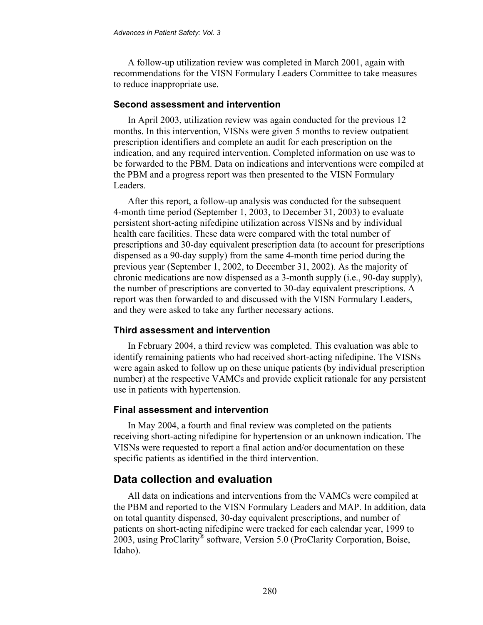A follow-up utilization review was completed in March 2001, again with recommendations for the VISN Formulary Leaders Committee to take measures to reduce inappropriate use.

#### **Second assessment and intervention**

In April 2003, utilization review was again conducted for the previous 12 months. In this intervention, VISNs were given 5 months to review outpatient prescription identifiers and complete an audit for each prescription on the indication, and any required intervention. Completed information on use was to be forwarded to the PBM. Data on indications and interventions were compiled at the PBM and a progress report was then presented to the VISN Formulary Leaders.

After this report, a follow-up analysis was conducted for the subsequent 4-month time period (September 1, 2003, to December 31, 2003) to evaluate persistent short-acting nifedipine utilization across VISNs and by individual health care facilities. These data were compared with the total number of prescriptions and 30-day equivalent prescription data (to account for prescriptions dispensed as a 90-day supply) from the same 4-month time period during the previous year (September 1, 2002, to December 31, 2002). As the majority of chronic medications are now dispensed as a 3-month supply (i.e., 90-day supply), the number of prescriptions are converted to 30-day equivalent prescriptions. A report was then forwarded to and discussed with the VISN Formulary Leaders, and they were asked to take any further necessary actions.

#### **Third assessment and intervention**

In February 2004, a third review was completed. This evaluation was able to identify remaining patients who had received short-acting nifedipine. The VISNs were again asked to follow up on these unique patients (by individual prescription number) at the respective VAMCs and provide explicit rationale for any persistent use in patients with hypertension.

#### **Final assessment and intervention**

In May 2004, a fourth and final review was completed on the patients receiving short-acting nifedipine for hypertension or an unknown indication. The VISNs were requested to report a final action and/or documentation on these specific patients as identified in the third intervention.

#### **Data collection and evaluation**

All data on indications and interventions from the VAMCs were compiled at the PBM and reported to the VISN Formulary Leaders and MAP. In addition, data on total quantity dispensed, 30-day equivalent prescriptions, and number of patients on short-acting nifedipine were tracked for each calendar year, 1999 to 2003, using ProClarity® software, Version 5.0 (ProClarity Corporation, Boise, Idaho).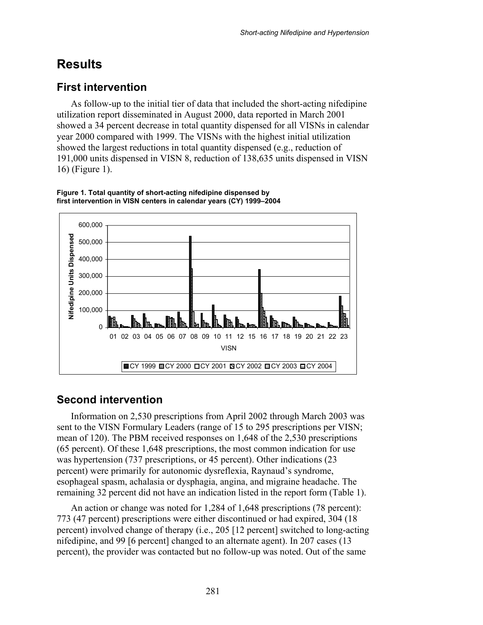# **Results**

## **First intervention**

As follow-up to the initial tier of data that included the short-acting nifedipine utilization report disseminated in August 2000, data reported in March 2001 showed a 34 percent decrease in total quantity dispensed for all VISNs in calendar year 2000 compared with 1999. The VISNs with the highest initial utilization showed the largest reductions in total quantity dispensed (e.g., reduction of 191,000 units dispensed in VISN 8, reduction of 138,635 units dispensed in VISN 16) (Figure 1).



**Figure 1. Total quantity of short-acting nifedipine dispensed by first intervention in VISN centers in calendar years (CY) 1999–2004** 

### **Second intervention**

Information on 2,530 prescriptions from April 2002 through March 2003 was sent to the VISN Formulary Leaders (range of 15 to 295 prescriptions per VISN; mean of 120). The PBM received responses on 1,648 of the 2,530 prescriptions (65 percent). Of these 1,648 prescriptions, the most common indication for use was hypertension (737 prescriptions, or 45 percent). Other indications (23 percent) were primarily for autonomic dysreflexia, Raynaud's syndrome, esophageal spasm, achalasia or dysphagia, angina, and migraine headache. The remaining 32 percent did not have an indication listed in the report form (Table 1).

An action or change was noted for 1,284 of 1,648 prescriptions (78 percent): 773 (47 percent) prescriptions were either discontinued or had expired, 304 (18 percent) involved change of therapy (i.e., 205 [12 percent] switched to long-acting nifedipine, and 99 [6 percent] changed to an alternate agent). In 207 cases (13 percent), the provider was contacted but no follow-up was noted. Out of the same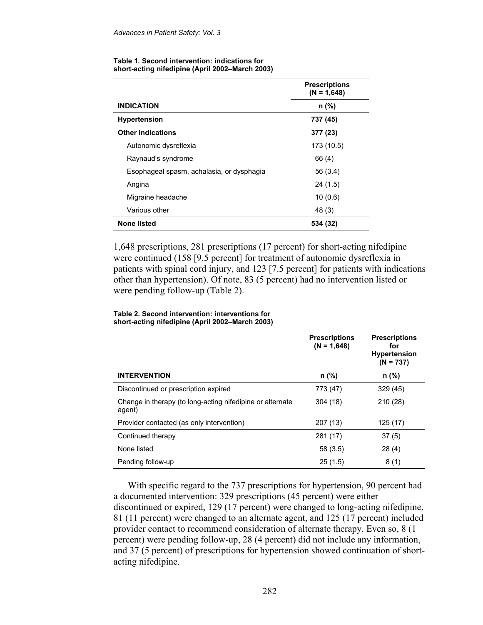|                                           | <b>Prescriptions</b><br>$(N = 1,648)$ |
|-------------------------------------------|---------------------------------------|
| <b>INDICATION</b>                         | n (%)                                 |
| <b>Hypertension</b>                       | 737 (45)                              |
| <b>Other indications</b>                  | 377 (23)                              |
| Autonomic dysreflexia                     | 173 (10.5)                            |
| Raynaud's syndrome                        | 66 (4)                                |
| Esophageal spasm, achalasia, or dysphagia | 56 (3.4)                              |
| Angina                                    | 24 (1.5)                              |
| Migraine headache                         | 10(0.6)                               |
| Various other                             | 48 (3)                                |
| <b>None listed</b>                        | 534 (32)                              |

#### **Table 1. Second intervention: indications for short-acting nifedipine (April 2002–March 2003)**

1,648 prescriptions, 281 prescriptions (17 percent) for short-acting nifedipine were continued (158 [9.5 percent] for treatment of autonomic dysreflexia in patients with spinal cord injury, and 123 [7.5 percent] for patients with indications other than hypertension). Of note, 83 (5 percent) had no intervention listed or were pending follow-up (Table 2).

#### **Table 2. Second intervention: interventions for short-acting nifedipine (April 2002–March 2003)**

|                                                                     | <b>Prescriptions</b><br>$(N = 1,648)$ | <b>Prescriptions</b><br>for<br><b>Hypertension</b><br>$(N = 737)$ |
|---------------------------------------------------------------------|---------------------------------------|-------------------------------------------------------------------|
| <b>INTERVENTION</b>                                                 | n (%)                                 | n (%)                                                             |
| Discontinued or prescription expired                                | 773 (47)                              | 329(45)                                                           |
| Change in therapy (to long-acting nifedipine or alternate<br>agent) | 304(18)                               | 210 (28)                                                          |
| Provider contacted (as only intervention)                           | 207 (13)                              | 125(17)                                                           |
| Continued therapy                                                   | 281 (17)                              | 37(5)                                                             |
| None listed                                                         | 58(3.5)                               | 28(4)                                                             |
| Pending follow-up                                                   | 25(1.5)                               | 8(1)                                                              |

With specific regard to the 737 prescriptions for hypertension, 90 percent had a documented intervention: 329 prescriptions (45 percent) were either discontinued or expired, 129 (17 percent) were changed to long-acting nifedipine, 81 (11 percent) were changed to an alternate agent, and 125 (17 percent) included provider contact to recommend consideration of alternate therapy. Even so, 8 (1 percent) were pending follow-up, 28 (4 percent) did not include any information, and 37 (5 percent) of prescriptions for hypertension showed continuation of shortacting nifedipine.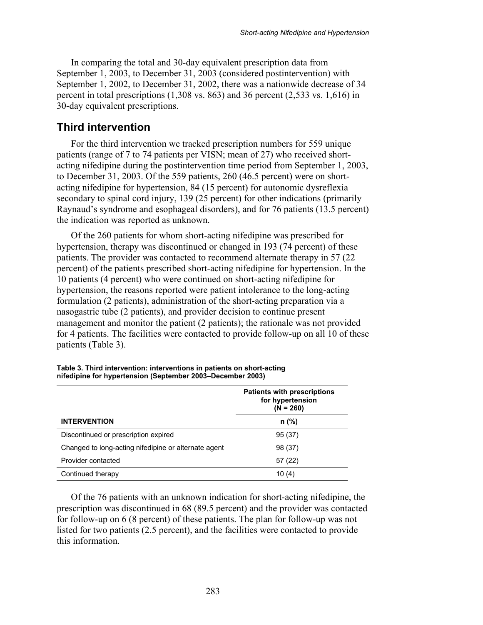In comparing the total and 30-day equivalent prescription data from September 1, 2003, to December 31, 2003 (considered postintervention) with September 1, 2002, to December 31, 2002, there was a nationwide decrease of 34 percent in total prescriptions  $(1,308 \text{ vs. } 863)$  and 36 percent  $(2,533 \text{ vs. } 1,616)$  in 30-day equivalent prescriptions.

#### **Third intervention**

For the third intervention we tracked prescription numbers for 559 unique patients (range of 7 to 74 patients per VISN; mean of 27) who received shortacting nifedipine during the postintervention time period from September 1, 2003, to December 31, 2003. Of the 559 patients, 260 (46.5 percent) were on shortacting nifedipine for hypertension, 84 (15 percent) for autonomic dysreflexia secondary to spinal cord injury, 139 (25 percent) for other indications (primarily Raynaud's syndrome and esophageal disorders), and for 76 patients (13.5 percent) the indication was reported as unknown.

Of the 260 patients for whom short-acting nifedipine was prescribed for hypertension, therapy was discontinued or changed in 193 (74 percent) of these patients. The provider was contacted to recommend alternate therapy in 57 (22 percent) of the patients prescribed short-acting nifedipine for hypertension. In the 10 patients (4 percent) who were continued on short-acting nifedipine for hypertension, the reasons reported were patient intolerance to the long-acting formulation (2 patients), administration of the short-acting preparation via a nasogastric tube (2 patients), and provider decision to continue present management and monitor the patient (2 patients); the rationale was not provided for 4 patients. The facilities were contacted to provide follow-up on all 10 of these patients (Table 3).

|                                                      | <b>Patients with prescriptions</b><br>for hypertension<br>$(N = 260)$ |
|------------------------------------------------------|-----------------------------------------------------------------------|
| <b>INTERVENTION</b>                                  | $n$ (%)                                                               |
| Discontinued or prescription expired                 | 95 (37)                                                               |
| Changed to long-acting nifedipine or alternate agent | 98 (37)                                                               |
| Provider contacted                                   | 57 (22)                                                               |
| Continued therapy                                    | 10 (4)                                                                |

**Table 3. Third intervention: interventions in patients on short-acting nifedipine for hypertension (September 2003–December 2003)** 

Of the 76 patients with an unknown indication for short-acting nifedipine, the prescription was discontinued in 68 (89.5 percent) and the provider was contacted for follow-up on 6 (8 percent) of these patients. The plan for follow-up was not listed for two patients (2.5 percent), and the facilities were contacted to provide this information.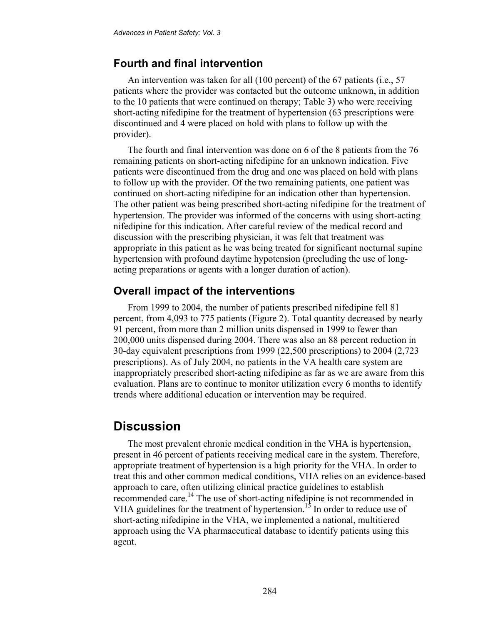### **Fourth and final intervention**

An intervention was taken for all (100 percent) of the 67 patients (i.e., 57 patients where the provider was contacted but the outcome unknown, in addition to the 10 patients that were continued on therapy; Table 3) who were receiving short-acting nifedipine for the treatment of hypertension (63 prescriptions were discontinued and 4 were placed on hold with plans to follow up with the provider).

The fourth and final intervention was done on 6 of the 8 patients from the 76 remaining patients on short-acting nifedipine for an unknown indication. Five patients were discontinued from the drug and one was placed on hold with plans to follow up with the provider. Of the two remaining patients, one patient was continued on short-acting nifedipine for an indication other than hypertension. The other patient was being prescribed short-acting nifedipine for the treatment of hypertension. The provider was informed of the concerns with using short-acting nifedipine for this indication. After careful review of the medical record and discussion with the prescribing physician, it was felt that treatment was appropriate in this patient as he was being treated for significant nocturnal supine hypertension with profound daytime hypotension (precluding the use of longacting preparations or agents with a longer duration of action).

#### **Overall impact of the interventions**

From 1999 to 2004, the number of patients prescribed nifedipine fell 81 percent, from 4,093 to 775 patients (Figure 2). Total quantity decreased by nearly 91 percent, from more than 2 million units dispensed in 1999 to fewer than 200,000 units dispensed during 2004. There was also an 88 percent reduction in 30-day equivalent prescriptions from 1999 (22,500 prescriptions) to 2004 (2,723 prescriptions). As of July 2004, no patients in the VA health care system are inappropriately prescribed short-acting nifedipine as far as we are aware from this evaluation. Plans are to continue to monitor utilization every 6 months to identify trends where additional education or intervention may be required.

## **Discussion**

The most prevalent chronic medical condition in the VHA is hypertension, present in 46 percent of patients receiving medical care in the system. Therefore, appropriate treatment of hypertension is a high priority for the VHA. In order to treat this and other common medical conditions, VHA relies on an evidence-based approach to care, often utilizing clinical practice guidelines to establish recommended care.<sup>14</sup> The use of short-acting nifedipine is not recommended in VHA guidelines for the treatment of hypertension.<sup>15</sup> In order to reduce use of short-acting nifedipine in the VHA, we implemented a national, multitiered approach using the VA pharmaceutical database to identify patients using this agent.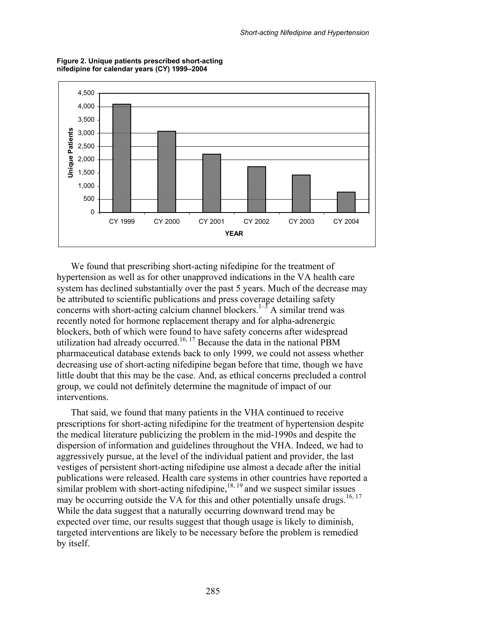

**Figure 2. Unique patients prescribed short-acting nifedipine for calendar years (CY) 1999–2004** 

We found that prescribing short-acting nifedipine for the treatment of hypertension as well as for other unapproved indications in the VA health care system has declined substantially over the past 5 years. Much of the decrease may be attributed to scientific publications and press coverage detailing safety concerns with short-acting calcium channel blockers.<sup>1–5</sup> A similar trend was recently noted for hormone replacement therapy and for alpha-adrenergic blockers, both of which were found to have safety concerns after widespread utilization had already occurred.<sup>16, 17</sup> Because the data in the national PBM pharmaceutical database extends back to only 1999, we could not assess whether decreasing use of short-acting nifedipine began before that time, though we have little doubt that this may be the case. And, as ethical concerns precluded a control group, we could not definitely determine the magnitude of impact of our interventions.

That said, we found that many patients in the VHA continued to receive prescriptions for short-acting nifedipine for the treatment of hypertension despite the medical literature publicizing the problem in the mid-1990s and despite the dispersion of information and guidelines throughout the VHA. Indeed, we had to aggressively pursue, at the level of the individual patient and provider, the last vestiges of persistent short-acting nifedipine use almost a decade after the initial publications were released. Health care systems in other countries have reported a similar problem with short-acting nifedipine,  $^{18, 19}$  and we suspect similar issues may be occurring outside the VA for this and other potentially unsafe drugs.<sup>16, 17</sup> While the data suggest that a naturally occurring downward trend may be expected over time, our results suggest that though usage is likely to diminish, targeted interventions are likely to be necessary before the problem is remedied by itself.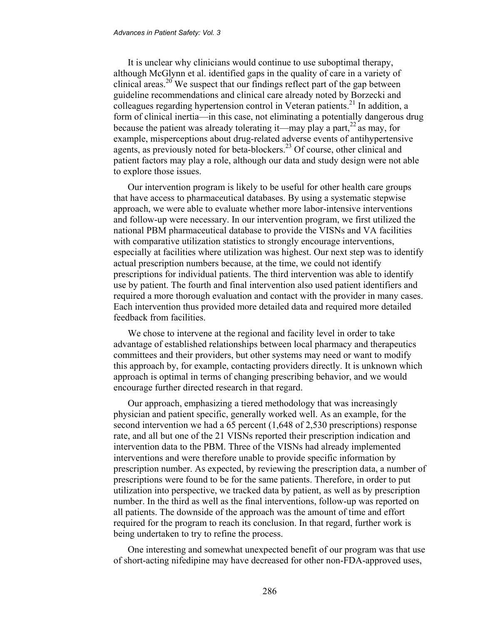It is unclear why clinicians would continue to use suboptimal therapy, although McGlynn et al. identified gaps in the quality of care in a variety of clinical areas.<sup>20</sup> We suspect that our findings reflect part of the gap between guideline recommendations and clinical care already noted by Borzecki and colleagues regarding hypertension control in Veteran patients.<sup>21</sup> In addition, a form of clinical inertia—in this case, not eliminating a potentially dangerous drug because the patient was already tolerating it—may play a part,  $^{22}$  as may, for example, misperceptions about drug-related adverse events of antihypertensive agents, as previously noted for beta-blockers.<sup>23</sup> Of course, other clinical and patient factors may play a role, although our data and study design were not able to explore those issues.

Our intervention program is likely to be useful for other health care groups that have access to pharmaceutical databases. By using a systematic stepwise approach, we were able to evaluate whether more labor-intensive interventions and follow-up were necessary. In our intervention program, we first utilized the national PBM pharmaceutical database to provide the VISNs and VA facilities with comparative utilization statistics to strongly encourage interventions, especially at facilities where utilization was highest. Our next step was to identify actual prescription numbers because, at the time, we could not identify prescriptions for individual patients. The third intervention was able to identify use by patient. The fourth and final intervention also used patient identifiers and required a more thorough evaluation and contact with the provider in many cases. Each intervention thus provided more detailed data and required more detailed feedback from facilities.

We chose to intervene at the regional and facility level in order to take advantage of established relationships between local pharmacy and therapeutics committees and their providers, but other systems may need or want to modify this approach by, for example, contacting providers directly. It is unknown which approach is optimal in terms of changing prescribing behavior, and we would encourage further directed research in that regard.

Our approach, emphasizing a tiered methodology that was increasingly physician and patient specific, generally worked well. As an example, for the second intervention we had a 65 percent (1,648 of 2,530 prescriptions) response rate, and all but one of the 21 VISNs reported their prescription indication and intervention data to the PBM. Three of the VISNs had already implemented interventions and were therefore unable to provide specific information by prescription number. As expected, by reviewing the prescription data, a number of prescriptions were found to be for the same patients. Therefore, in order to put utilization into perspective, we tracked data by patient, as well as by prescription number. In the third as well as the final interventions, follow-up was reported on all patients. The downside of the approach was the amount of time and effort required for the program to reach its conclusion. In that regard, further work is being undertaken to try to refine the process.

One interesting and somewhat unexpected benefit of our program was that use of short-acting nifedipine may have decreased for other non-FDA-approved uses,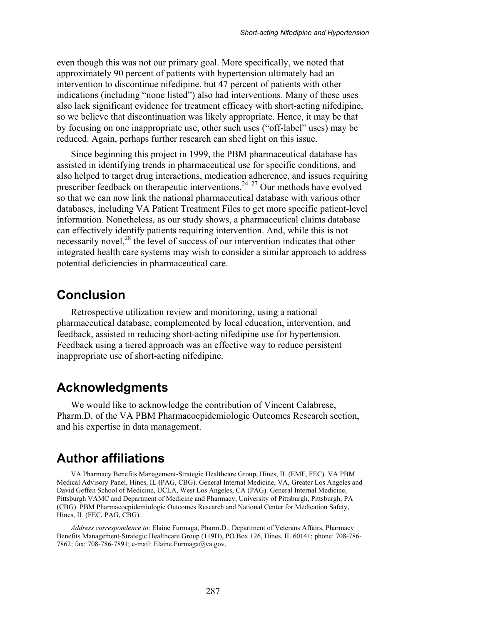even though this was not our primary goal. More specifically, we noted that approximately 90 percent of patients with hypertension ultimately had an intervention to discontinue nifedipine, but 47 percent of patients with other indications (including "none listed") also had interventions. Many of these uses also lack significant evidence for treatment efficacy with short-acting nifedipine, so we believe that discontinuation was likely appropriate. Hence, it may be that by focusing on one inappropriate use, other such uses ("off-label" uses) may be reduced. Again, perhaps further research can shed light on this issue.

Since beginning this project in 1999, the PBM pharmaceutical database has assisted in identifying trends in pharmaceutical use for specific conditions, and also helped to target drug interactions, medication adherence, and issues requiring prescriber feedback on therapeutic interventions.<sup>24–27</sup> Our methods have evolved so that we can now link the national pharmaceutical database with various other databases, including VA Patient Treatment Files to get more specific patient-level information. Nonetheless, as our study shows, a pharmaceutical claims database can effectively identify patients requiring intervention. And, while this is not necessarily novel,<sup>28</sup> the level of success of our intervention indicates that other integrated health care systems may wish to consider a similar approach to address potential deficiencies in pharmaceutical care.

### **Conclusion**

Retrospective utilization review and monitoring, using a national pharmaceutical database, complemented by local education, intervention, and feedback, assisted in reducing short-acting nifedipine use for hypertension. Feedback using a tiered approach was an effective way to reduce persistent inappropriate use of short-acting nifedipine.

## **Acknowledgments**

We would like to acknowledge the contribution of Vincent Calabrese, Pharm.D. of the VA PBM Pharmacoepidemiologic Outcomes Research section, and his expertise in data management.

## **Author affiliations**

VA Pharmacy Benefits Management-Strategic Healthcare Group, Hines, IL (EMF, FEC). VA PBM Medical Advisory Panel, Hines, IL **(**PAG, CBG). General Internal Medicine, VA, Greater Los Angeles and David Geffen School of Medicine, UCLA, West Los Angeles, CA (PAG). General Internal Medicine, Pittsburgh VAMC and Department of Medicine and Pharmacy, University of Pittsburgh, Pittsburgh, PA (CBG). PBM Pharmacoepidemiologic Outcomes Research and National Center for Medication Safety, Hines, IL (FEC, PAG, CBG).

*Address correspondence to*: Elaine Furmaga, Pharm.D., Department of Veterans Affairs, Pharmacy Benefits Management-Strategic Healthcare Group (119D), PO Box 126, Hines, IL 60141; phone: 708-786- 7862; fax: 708-786-7891; e-mail: Elaine.Furmaga@va.gov.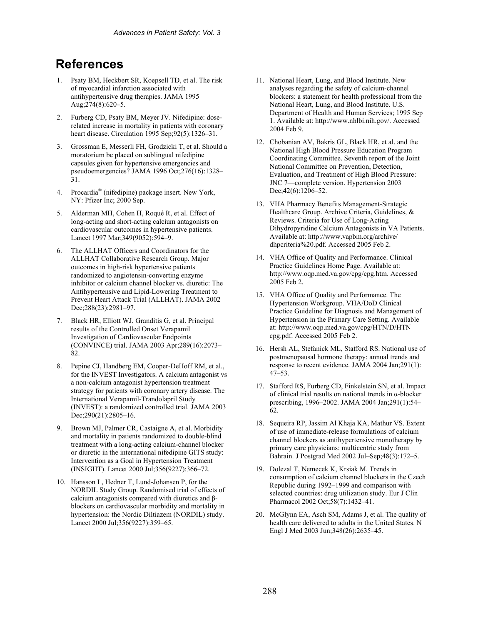# **References**

- 1. Psaty BM, Heckbert SR, Koepsell TD, et al. The risk of myocardial infarction associated with antihypertensive drug therapies. JAMA 1995 Aug;274(8):620–5.
- 2. Furberg CD, Psaty BM, Meyer JV. Nifedipine: doserelated increase in mortality in patients with coronary heart disease. Circulation 1995 Sep;92(5):1326–31.
- 3. Grossman E, Messerli FH, Grodzicki T, et al. Should a moratorium be placed on sublingual nifedipine capsules given for hypertensive emergencies and pseudoemergencies? JAMA 1996 Oct;276(16):1328– 31.
- 4. Procardia® (nifedipine) package insert. New York, NY: Pfizer Inc; 2000 Sep.
- 5. Alderman MH, Cohen H, Roqué R, et al. Effect of long-acting and short-acting calcium antagonists on cardiovascular outcomes in hypertensive patients. Lancet 1997 Mar;349(9052):594–9.
- 6. The ALLHAT Officers and Coordinators for the ALLHAT Collaborative Research Group. Major outcomes in high-risk hypertensive patients randomized to angiotensin-converting enzyme inhibitor or calcium channel blocker vs. diuretic: The Antihypertensive and Lipid-Lowering Treatment to Prevent Heart Attack Trial (ALLHAT). JAMA 2002 Dec;288(23):2981–97.
- 7. Black HR, Elliott WJ, Granditis G, et al. Principal results of the Controlled Onset Verapamil Investigation of Cardiovascular Endpoints (CONVINCE) trial. JAMA 2003 Apr;289(16):2073– 82.
- 8. Pepine CJ, Handberg EM, Cooper-DeHoff RM, et al., for the INVEST Investigators. A calcium antagonist vs a non-calcium antagonist hypertension treatment strategy for patients with coronary artery disease. The International Verapamil-Trandolapril Study (INVEST): a randomized controlled trial. JAMA 2003 Dec;290(21):2805–16.
- 9. Brown MJ, Palmer CR, Castaigne A, et al. Morbidity and mortality in patients randomized to double-blind treatment with a long-acting calcium-channel blocker or diuretic in the international nifedipine GITS study: Intervention as a Goal in Hypertension Treatment (INSIGHT). Lancet 2000 Jul;356(9227):366–72.
- 10. Hansson L, Hedner T, Lund-Johansen P, for the NORDIL Study Group. Randomised trial of effects of calcium antagonists compared with diuretics and βblockers on cardiovascular morbidity and mortality in hypertension: the Nordic Diltiazem (NORDIL) study. Lancet 2000 Jul;356(9227):359–65.
- 11. National Heart, Lung, and Blood Institute. New analyses regarding the safety of calcium-channel blockers: a statement for health professional from the National Heart, Lung, and Blood Institute. U.S. Department of Health and Human Services; 1995 Sep 1. Available at: http://www.nhlbi.nih.gov/. Accessed 2004 Feb 9.
- 12. Chobanian AV, Bakris GL, Black HR, et al. and the National High Blood Pressure Education Program Coordinating Committee. Seventh report of the Joint National Committee on Prevention, Detection, Evaluation, and Treatment of High Blood Pressure: JNC 7—complete version. Hypertension 2003 Dec; 42(6): 1206–52.
- 13. VHA Pharmacy Benefits Management-Strategic Healthcare Group. Archive Criteria, Guidelines, & Reviews. Criteria for Use of Long-Acting Dihydropyridine Calcium Antagonists in VA Patients. Available at: http://www.vapbm.org/archive/ dhpcriteria%20.pdf. Accessed 2005 Feb 2.
- 14. VHA Office of Quality and Performance. Clinical Practice Guidelines Home Page. Available at: http://www.oqp.med.va.gov/cpg/cpg.htm. Accessed 2005 Feb 2.
- 15. VHA Office of Quality and Performance. The Hypertension Workgroup. VHA/DoD Clinical Practice Guideline for Diagnosis and Management of Hypertension in the Primary Care Setting. Available at: http://www.oqp.med.va.gov/cpg/HTN/D/HTN\_ cpg.pdf. Accessed 2005 Feb 2.
- 16. Hersh AL, Stefanick ML, Stafford RS. National use of postmenopausal hormone therapy: annual trends and response to recent evidence. JAMA 2004 Jan;291(1): 47–53.
- 17. Stafford RS, Furberg CD, Finkelstein SN, et al. Impact of clinical trial results on national trends in α-blocker prescribing, 1996–2002. JAMA 2004 Jan;291(1):54– 62.
- 18. Sequeira RP, Jassim Al Khaja KA, Mathur VS. Extent of use of immediate-release formulations of calcium channel blockers as antihypertensive monotherapy by primary care physicians: multicentric study from Bahrain. J Postgrad Med 2002 Jul–Sep;48(3):172–5.
- 19. Dolezal T, Nemecek K, Krsiak M. Trends in consumption of calcium channel blockers in the Czech Republic during 1992–1999 and comparison with selected countries: drug utilization study. Eur J Clin Pharmacol 2002 Oct;58(7):1432–41.
- 20. McGlynn EA, Asch SM, Adams J, et al. The quality of health care delivered to adults in the United States. N Engl J Med 2003 Jun;348(26):2635–45.